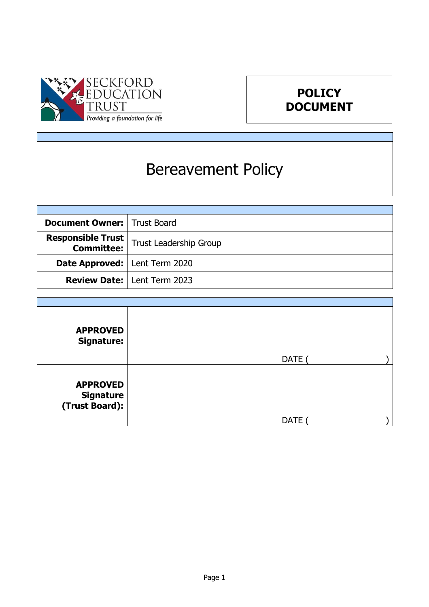



# Bereavement Policy

| <b>Document Owner:   Trust Board</b>   |                                                                      |
|----------------------------------------|----------------------------------------------------------------------|
|                                        | <b>Responsible Trust</b><br><b>Committee:</b> Trust Leadership Group |
| <b>Date Approved:</b>   Lent Term 2020 |                                                                      |
|                                        | <b>Review Date:   Lent Term 2023</b>                                 |

| <b>APPROVED</b><br><b>Signature:</b>                  |             |
|-------------------------------------------------------|-------------|
|                                                       | DATE        |
| <b>APPROVED</b><br><b>Signature</b><br>(Trust Board): | <b>DATE</b> |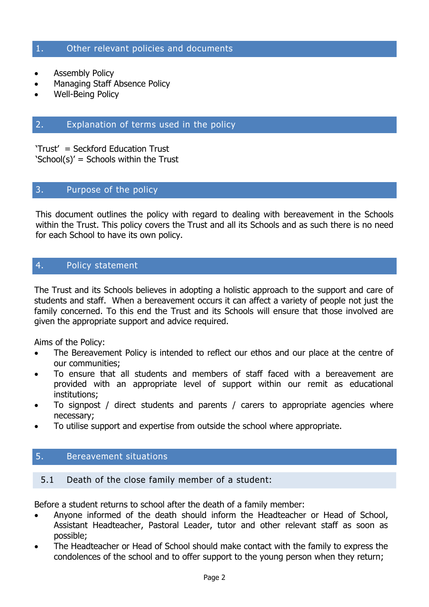#### 1. Other relevant policies and documents

- Assembly Policy
- Managing Staff Absence Policy
- Well-Being Policy

# 2. Explanation of terms used in the policy

'Trust' = Seckford Education Trust 'School(s)' = Schools within the Trust

# 3. Purpose of the policy

This document outlines the policy with regard to dealing with bereavement in the Schools within the Trust. This policy covers the Trust and all its Schools and as such there is no need for each School to have its own policy.

# 4. Policy statement

The Trust and its Schools believes in adopting a holistic approach to the support and care of students and staff. When a bereavement occurs it can affect a variety of people not just the family concerned. To this end the Trust and its Schools will ensure that those involved are given the appropriate support and advice required.

Aims of the Policy:

- The Bereavement Policy is intended to reflect our ethos and our place at the centre of our communities;
- To ensure that all students and members of staff faced with a bereavement are provided with an appropriate level of support within our remit as educational institutions;
- To signpost / direct students and parents / carers to appropriate agencies where necessary;
- To utilise support and expertise from outside the school where appropriate.

# 5. Bereavement situations

#### 5.1 Death of the close family member of a student:

Before a student returns to school after the death of a family member:

- Anyone informed of the death should inform the Headteacher or Head of School, Assistant Headteacher, Pastoral Leader, tutor and other relevant staff as soon as possible;
- The Headteacher or Head of School should make contact with the family to express the condolences of the school and to offer support to the young person when they return;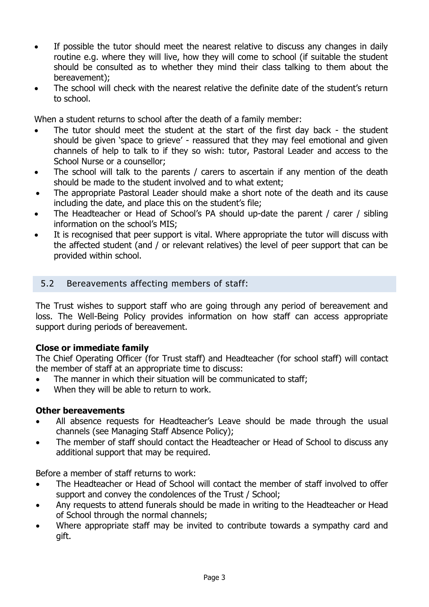- If possible the tutor should meet the nearest relative to discuss any changes in daily routine e.g. where they will live, how they will come to school (if suitable the student should be consulted as to whether they mind their class talking to them about the bereavement);
- The school will check with the nearest relative the definite date of the student's return to school.

When a student returns to school after the death of a family member:

- The tutor should meet the student at the start of the first day back the student should be given 'space to grieve' - reassured that they may feel emotional and given channels of help to talk to if they so wish: tutor, Pastoral Leader and access to the School Nurse or a counsellor;
- The school will talk to the parents / carers to ascertain if any mention of the death should be made to the student involved and to what extent;
- The appropriate Pastoral Leader should make a short note of the death and its cause including the date, and place this on the student's file;
- The Headteacher or Head of School's PA should up-date the parent / carer / sibling information on the school's MIS;
- It is recognised that peer support is vital. Where appropriate the tutor will discuss with the affected student (and / or relevant relatives) the level of peer support that can be provided within school.

# 5.2 Bereavements affecting members of staff:

The Trust wishes to support staff who are going through any period of bereavement and loss. The Well-Being Policy provides information on how staff can access appropriate support during periods of bereavement.

#### **Close or immediate family**

The Chief Operating Officer (for Trust staff) and Headteacher (for school staff) will contact the member of staff at an appropriate time to discuss:

- The manner in which their situation will be communicated to staff;
- When they will be able to return to work.

#### **Other bereavements**

- All absence requests for Headteacher's Leave should be made through the usual channels (see Managing Staff Absence Policy);
- The member of staff should contact the Headteacher or Head of School to discuss any additional support that may be required.

Before a member of staff returns to work:

- The Headteacher or Head of School will contact the member of staff involved to offer support and convey the condolences of the Trust / School;
- Any requests to attend funerals should be made in writing to the Headteacher or Head of School through the normal channels;
- Where appropriate staff may be invited to contribute towards a sympathy card and gift.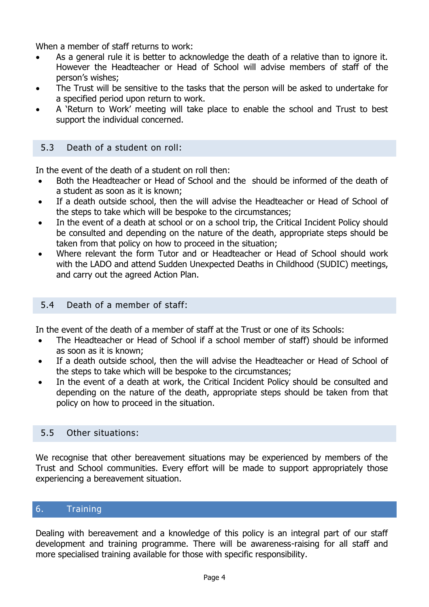When a member of staff returns to work:

- As a general rule it is better to acknowledge the death of a relative than to ignore it. However the Headteacher or Head of School will advise members of staff of the person's wishes;
- The Trust will be sensitive to the tasks that the person will be asked to undertake for a specified period upon return to work.
- A 'Return to Work' meeting will take place to enable the school and Trust to best support the individual concerned.

## 5.3 Death of a student on roll:

In the event of the death of a student on roll then:

- Both the Headteacher or Head of School and the should be informed of the death of a student as soon as it is known;
- If a death outside school, then the will advise the Headteacher or Head of School of the steps to take which will be bespoke to the circumstances;
- In the event of a death at school or on a school trip, the Critical Incident Policy should be consulted and depending on the nature of the death, appropriate steps should be taken from that policy on how to proceed in the situation;
- Where relevant the form Tutor and or Headteacher or Head of School should work with the LADO and attend Sudden Unexpected Deaths in Childhood (SUDIC) meetings, and carry out the agreed Action Plan.

## 5.4 Death of a member of staff:

In the event of the death of a member of staff at the Trust or one of its Schools:

- The Headteacher or Head of School if a school member of staff) should be informed as soon as it is known;
- If a death outside school, then the will advise the Headteacher or Head of School of the steps to take which will be bespoke to the circumstances;
- In the event of a death at work, the Critical Incident Policy should be consulted and depending on the nature of the death, appropriate steps should be taken from that policy on how to proceed in the situation.

# 5.5 Other situations:

We recognise that other bereavement situations may be experienced by members of the Trust and School communities. Every effort will be made to support appropriately those experiencing a bereavement situation.

# 6. Training

Dealing with bereavement and a knowledge of this policy is an integral part of our staff development and training programme. There will be awareness-raising for all staff and more specialised training available for those with specific responsibility.